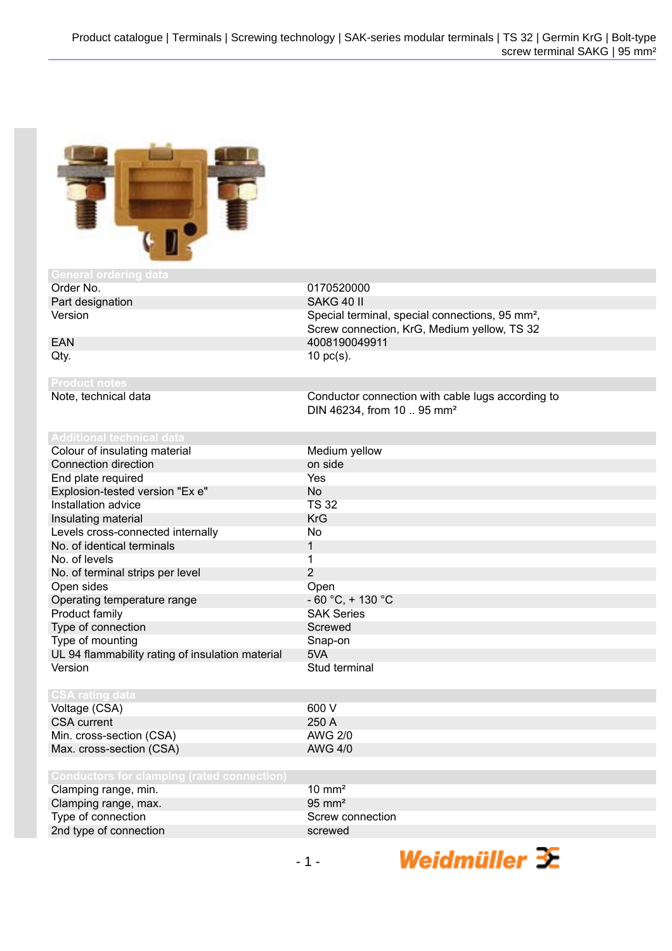

| General ordering data                             |                                                             |
|---------------------------------------------------|-------------------------------------------------------------|
| Order No.                                         | 0170520000                                                  |
| Part designation                                  | SAKG 40 II                                                  |
| Version                                           | Special terminal, special connections, 95 mm <sup>2</sup> , |
|                                                   | Screw connection, KrG, Medium yellow, TS 32                 |
| <b>EAN</b>                                        | 4008190049911                                               |
| Qty.                                              | $10$ pc(s).                                                 |
|                                                   |                                                             |
| <b>Product notes</b>                              |                                                             |
| Note, technical data                              | Conductor connection with cable lugs according to           |
|                                                   | DIN 46234, from 10  95 mm <sup>2</sup>                      |
|                                                   |                                                             |
| <b>Additional technical data</b>                  |                                                             |
| Colour of insulating material                     | Medium yellow                                               |
| Connection direction                              | on side                                                     |
| End plate required                                | Yes                                                         |
| Explosion-tested version "Ex e"                   | <b>No</b>                                                   |
| Installation advice                               | <b>TS 32</b>                                                |
| Insulating material                               | <b>KrG</b>                                                  |
| Levels cross-connected internally                 | No.                                                         |
| No. of identical terminals                        | 1                                                           |
| No. of levels                                     | 1                                                           |
| No. of terminal strips per level                  | $\overline{2}$                                              |
| Open sides                                        | Open                                                        |
| Operating temperature range                       | $-60 °C$ , + 130 °C                                         |
| Product family                                    | <b>SAK Series</b>                                           |
| Type of connection                                | Screwed                                                     |
| Type of mounting                                  | Snap-on                                                     |
| UL 94 flammability rating of insulation material  | 5VA                                                         |
| Version                                           | Stud terminal                                               |
|                                                   |                                                             |
| <b>CSA rating data</b>                            |                                                             |
| Voltage (CSA)                                     | 600 V                                                       |
| <b>CSA</b> current                                | 250 A                                                       |
| Min. cross-section (CSA)                          | <b>AWG 2/0</b>                                              |
| Max. cross-section (CSA)                          | <b>AWG 4/0</b>                                              |
|                                                   |                                                             |
| <b>Conductors for clamping (rated connection)</b> |                                                             |
| Clamping range, min.                              | $10 \text{ mm}^2$                                           |
| Clamping range, max.                              | $95 \text{ mm}^2$                                           |
| Type of connection                                | Screw connection                                            |
| 2nd type of connection                            | screwed                                                     |

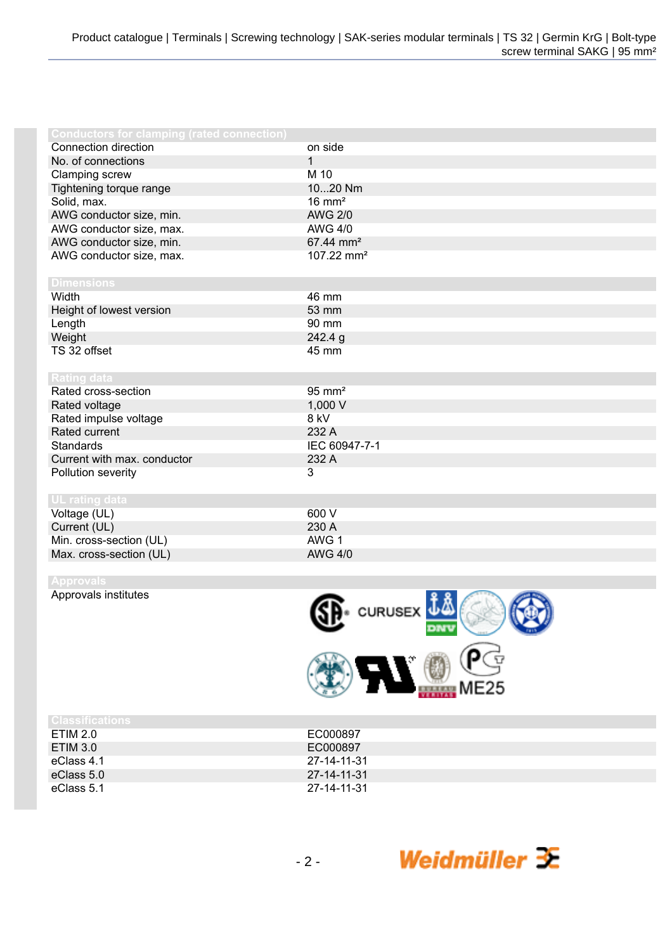| <b>Conductors for clamping (rated connection)</b> |                        |
|---------------------------------------------------|------------------------|
| Connection direction                              | on side                |
| No. of connections                                | $\mathbf{1}$           |
| Clamping screw                                    | M 10                   |
| Tightening torque range                           | 1020 Nm                |
| Solid, max.                                       | $16 \text{ mm}^2$      |
| AWG conductor size, min.                          | <b>AWG 2/0</b>         |
| AWG conductor size, max.                          | <b>AWG 4/0</b>         |
| AWG conductor size, min.                          | 67.44 mm <sup>2</sup>  |
| AWG conductor size, max.                          | 107.22 mm <sup>2</sup> |
|                                                   |                        |
| <b>Dimensions</b>                                 |                        |
| Width                                             | 46 mm                  |
| Height of lowest version                          | 53 mm                  |
| Length                                            | 90 mm                  |
| Weight                                            | 242.4 g                |
| TS 32 offset                                      | 45 mm                  |
|                                                   |                        |
| <b>Rating data</b>                                |                        |
| Rated cross-section                               | $95 \text{ mm}^2$      |
| Rated voltage                                     | 1,000 V                |
| Rated impulse voltage                             | 8 kV                   |
| Rated current                                     | 232 A                  |
| Standards                                         | IEC 60947-7-1          |
| Current with max. conductor                       | 232 A                  |
| Pollution severity                                | 3                      |
|                                                   |                        |
| <b>UL</b> rating data                             |                        |
| Voltage (UL)                                      | 600 V                  |
| Current (UL)                                      | 230 A                  |
| Min. cross-section (UL)                           | AWG 1                  |
| Max. cross-section (UL)                           | <b>AWG 4/0</b>         |
|                                                   |                        |

Approvals institutes



Weidmüller  $\mathcal{\mathcal{F}}$ 

| <b>Classifications</b> |             |
|------------------------|-------------|
| ETIM 2.0               | EC000897    |
| ETIM 3.0               | EC000897    |
| eClass 4.1             | 27-14-11-31 |
| eClass 5.0             | 27-14-11-31 |
| eClass 5.1             | 27-14-11-31 |